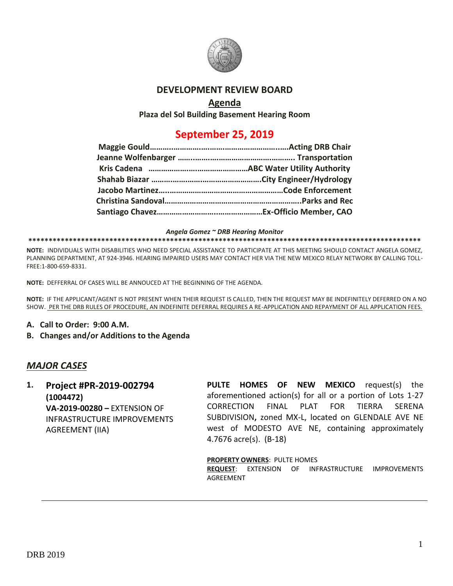

## **DEVELOPMENT REVIEW BOARD**

## **Agenda**

**Plaza del Sol Building Basement Hearing Room**

# **September 25, 2019**

*Angela Gomez ~ DRB Hearing Monitor*

#### **\*\*\*\*\*\*\*\*\*\*\*\*\*\*\*\*\*\*\*\*\*\*\*\*\*\*\*\*\*\*\*\*\*\*\*\*\*\*\*\*\*\*\*\*\*\*\*\*\*\*\*\*\*\*\*\*\*\*\*\*\*\*\*\*\*\*\*\*\*\*\*\*\*\*\*\*\*\*\*\*\*\*\*\*\*\*\*\*\*\*\*\*\*\*\*\*\***

**NOTE:** INDIVIDUALS WITH DISABILITIES WHO NEED SPECIAL ASSISTANCE TO PARTICIPATE AT THIS MEETING SHOULD CONTACT ANGELA GOMEZ, PLANNING DEPARTMENT, AT 924-3946. HEARING IMPAIRED USERS MAY CONTACT HER VIA THE NEW MEXICO RELAY NETWORK BY CALLING TOLL-FREE:1-800-659-8331.

**NOTE:** DEFFERRAL OF CASES WILL BE ANNOUCED AT THE BEGINNING OF THE AGENDA.

**NOTE:** IF THE APPLICANT/AGENT IS NOT PRESENT WHEN THEIR REQUEST IS CALLED, THEN THE REQUEST MAY BE INDEFINITELY DEFERRED ON A NO SHOW. PER THE DRB RULES OF PROCEDURE, AN INDEFINITE DEFERRAL REQUIRES A RE-APPLICATION AND REPAYMENT OF ALL APPLICATION FEES.

- **A. Call to Order: 9:00 A.M.**
- **B. Changes and/or Additions to the Agenda**

## *MAJOR CASES*

**1. Project #PR-2019-002794 (1004472) VA-2019-00280 –** EXTENSION OF INFRASTRUCTURE IMPROVEMENTS AGREEMENT (IIA)

**PULTE HOMES OF NEW MEXICO** request(s) the aforementioned action(s) for all or a portion of Lots 1-27 CORRECTION FINAL PLAT FOR TIERRA SERENA SUBDIVISION**,** zoned MX-L, located on GLENDALE AVE NE west of MODESTO AVE NE, containing approximately 4.7676 acre(s). (B-18)

### **PROPERTY OWNERS**: PULTE HOMES

**REQUEST**: EXTENSION OF INFRASTRUCTURE IMPROVEMENTS AGREEMENT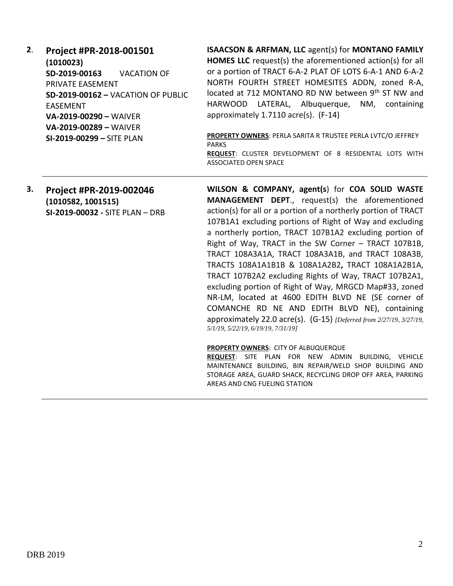- **2**. **Project #PR-2018-001501 (1010023) SD-2019-00163** VACATION OF PRIVATE EASEMENT **SD-2019-00162 –** VACATION OF PUBLIC EASEMENT **VA-2019-00290 –** WAIVER **VA-2019-00289 –** WAIVER **SI-2019-00299 –** SITE PLAN **ISAACSON & ARFMAN, LLC** agent(s) for **MONTANO FAMILY HOMES LLC** request(s) the aforementioned action(s) for all or a portion of TRACT 6-A-2 PLAT OF LOTS 6-A-1 AND 6-A-2 NORTH FOURTH STREET HOMESITES ADDN, zoned R-A, located at 712 MONTANO RD NW between 9<sup>th</sup> ST NW and HARWOOD LATERAL, Albuquerque, NM, containing approximately 1.7110 acre(s). (F-14) **PROPERTY OWNERS**: PERLA SARITA R TRUSTEE PERLA LVTC/O JEFFREY PARKS **REQUEST**: CLUSTER DEVELOPMENT OF 8 RESIDENTAL LOTS WITH ASSOCIATED OPEN SPACE
- **3. Project #PR-2019-002046 (1010582, 1001515) SI-2019-00032 -** SITE PLAN – DRB

**WILSON & COMPANY, agent(s**) for **COA SOLID WASTE MANAGEMENT DEPT**., request(s) the aforementioned action(s) for all or a portion of a northerly portion of TRACT 107B1A1 excluding portions of Right of Way and excluding a northerly portion, TRACT 107B1A2 excluding portion of Right of Way, TRACT in the SW Corner – TRACT 107B1B, TRACT 108A3A1A, TRACT 108A3A1B, and TRACT 108A3B, TRACTS 108A1A1B1B & 108A1A2B2**,** TRACT 108A1A2B1A, TRACT 107B2A2 excluding Rights of Way, TRACT 107B2A1, excluding portion of Right of Way, MRGCD Map#33, zoned NR-LM, located at 4600 EDITH BLVD NE (SE corner of COMANCHE RD NE AND EDITH BLVD NE), containing approximately 22.0 acre(s). (G-15) *[Deferred from 2/27/19, 3/27/19, 5/1/19, 5/22/19, 6/19/19, 7/31/19]*

#### **PROPERTY OWNERS**: CITY OF ALBUQUERQUE

**REQUEST**: SITE PLAN FOR NEW ADMIN BUILDING, VEHICLE MAINTENANCE BUILDING, BIN REPAIR/WELD SHOP BUILDING AND STORAGE AREA, GUARD SHACK, RECYCLING DROP OFF AREA, PARKING AREAS AND CNG FUELING STATION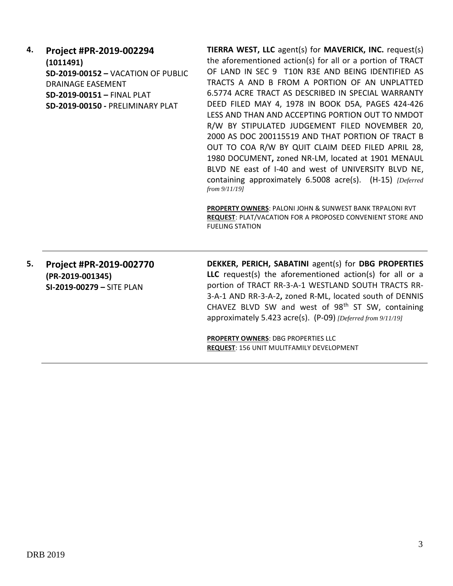**4. Project #PR-2019-002294 (1011491) SD-2019-00152 –** VACATION OF PUBLIC DRAINAGE EASEMENT **SD-2019-00151 –** FINAL PLAT **SD-2019-00150 -** PRELIMINARY PLAT

**TIERRA WEST, LLC** agent(s) for **MAVERICK, INC.** request(s) the aforementioned action(s) for all or a portion of TRACT OF LAND IN SEC 9 T10N R3E AND BEING IDENTIFIED AS TRACTS A AND B FROM A PORTION OF AN UNPLATTED 6.5774 ACRE TRACT AS DESCRIBED IN SPECIAL WARRANTY DEED FILED MAY 4, 1978 IN BOOK D5A, PAGES 424-426 LESS AND THAN AND ACCEPTING PORTION OUT TO NMDOT R/W BY STIPULATED JUDGEMENT FILED NOVEMBER 20, 2000 AS DOC 200115519 AND THAT PORTION OF TRACT B OUT TO COA R/W BY QUIT CLAIM DEED FILED APRIL 28, 1980 DOCUMENT**,** zoned NR-LM, located at 1901 MENAUL BLVD NE east of I-40 and west of UNIVERSITY BLVD NE, containing approximately 6.5008 acre(s). (H-15) *[Deferred from 9/11/19]*

**PROPERTY OWNERS**: PALONI JOHN & SUNWEST BANK TRPALONI RVT **REQUEST**: PLAT/VACATION FOR A PROPOSED CONVENIENT STORE AND FUELING STATION

**5. Project #PR-2019-002770 (PR-2019-001345) SI-2019-00279 –** SITE PLAN

**DEKKER, PERICH, SABATINI** agent(s) for **DBG PROPERTIES LLC** request(s) the aforementioned action(s) for all or a portion of TRACT RR-3-A-1 WESTLAND SOUTH TRACTS RR-3-A-1 AND RR-3-A-2**,** zoned R-ML, located south of DENNIS CHAVEZ BLVD SW and west of  $98<sup>th</sup>$  ST SW, containing approximately 5.423 acre(s). (P-09) *[Deferred from 9/11/19]*

**PROPERTY OWNERS**: DBG PROPERTIES LLC **REQUEST**: 156 UNIT MULITFAMILY DEVELOPMENT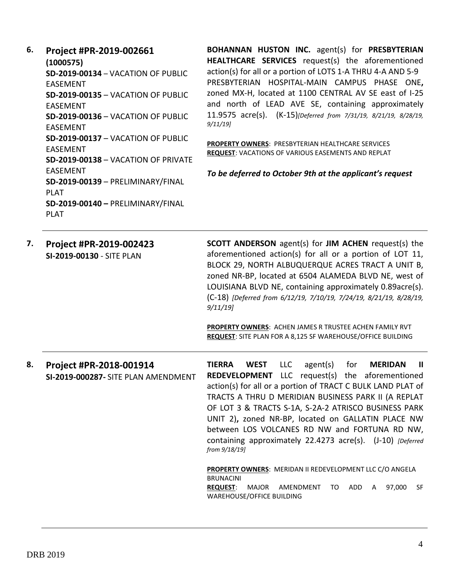| 6. | Project #PR-2019-002661<br>(1000575)                                                                                                                                                                                                                                                                                                                                                                      | <b>BOHANNAN HUSTON INC.</b> agent(s) for <b>PRESBYTERIAN</b><br><b>HEALTHCARE SERVICES</b> request(s) the aforementioned                                                                                                                                                                                       |  |
|----|-----------------------------------------------------------------------------------------------------------------------------------------------------------------------------------------------------------------------------------------------------------------------------------------------------------------------------------------------------------------------------------------------------------|----------------------------------------------------------------------------------------------------------------------------------------------------------------------------------------------------------------------------------------------------------------------------------------------------------------|--|
|    | SD-2019-00134 - VACATION OF PUBLIC<br><b>EASEMENT</b><br><b>SD-2019-00135 - VACATION OF PUBLIC</b><br><b>EASEMENT</b><br>SD-2019-00136 - VACATION OF PUBLIC<br><b>EASEMENT</b><br>SD-2019-00137 - VACATION OF PUBLIC<br><b>EASEMENT</b><br>SD-2019-00138 - VACATION OF PRIVATE<br><b>EASEMENT</b><br>SD-2019-00139 - PRELIMINARY/FINAL<br><b>PLAT</b><br>SD-2019-00140 - PRELIMINARY/FINAL<br><b>PLAT</b> | action(s) for all or a portion of LOTS 1-A THRU 4-A AND 5-9<br>PRESBYTERIAN HOSPITAL-MAIN CAMPUS PHASE ONE,<br>zoned MX-H, located at 1100 CENTRAL AV SE east of I-25<br>and north of LEAD AVE SE, containing approximately<br>11.9575 acre(s). (K-15)[Deferred from 7/31/19, 8/21/19, 8/28/19,<br>$9/11/19$ ] |  |
|    |                                                                                                                                                                                                                                                                                                                                                                                                           | <b>PROPERTY OWNERS: PRESBYTERIAN HEALTHCARE SERVICES</b><br>REQUEST: VACATIONS OF VARIOUS EASEMENTS AND REPLAT<br>To be deferred to October 9th at the applicant's request                                                                                                                                     |  |
| 7. | Project #PR-2019-002423<br>SI-2019-00130 - SITE PLAN                                                                                                                                                                                                                                                                                                                                                      | <b>SCOTT ANDERSON</b> agent(s) for <b>JIM ACHEN</b> request(s) the<br>aforementioned action(s) for all or a portion of LOT 11,<br>BLOCK 29, NORTH ALBUQUERQUE ACRES TRACT A UNIT B,<br>zoned NR-BP, located at 6504 ALAMEDA BLVD NE, west of                                                                   |  |

zoned NR-BP, located at 6504 ALAMEDA BLVD NE, west of LOUISIANA BLVD NE, containing approximately 0.89acre(s). (C-18) *[Deferred from 6/12/19, 7/10/19, 7/24/19, 8/21/19, 8/28/19, 9/11/19]*

**PROPERTY OWNERS**: ACHEN JAMES R TRUSTEE ACHEN FAMILY RVT **REQUEST**: SITE PLAN FOR A 8,125 SF WAREHOUSE/OFFICE BUILDING

**8. Project #PR-2018-001914 SI-2019-000287-** SITE PLAN AMENDMENT **TIERRA WEST** LLC agent(s) for **MERIDAN II REDEVELOPMENT** LLC request(s) the aforementioned action(s) for all or a portion of TRACT C BULK LAND PLAT of TRACTS A THRU D MERIDIAN BUSINESS PARK II (A REPLAT OF LOT 3 & TRACTS S-1A, S-2A-2 ATRISCO BUSINESS PARK UNIT 2)**,** zoned NR-BP, located on GALLATIN PLACE NW between LOS VOLCANES RD NW and FORTUNA RD NW, containing approximately 22.4273 acre(s). (J-10) *[Deferred from 9/18/19]*

**PROPERTY OWNERS**: MERIDAN II REDEVELOPMENT LLC C/O ANGELA BRUNACINI **REQUEST**: MAJOR AMENDMENT TO ADD A 97,000 SF WAREHOUSE/OFFICE BUILDING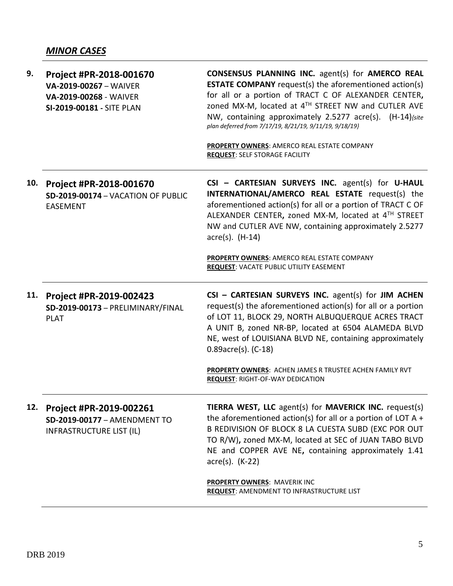| 9.  | Project #PR-2018-001670<br>VA-2019-00267 - WAIVER<br>VA-2019-00268 - WAIVER<br>SI-2019-00181 - SITE PLAN | <b>CONSENSUS PLANNING INC.</b> agent(s) for <b>AMERCO REAL</b><br><b>ESTATE COMPANY</b> request(s) the aforementioned action(s)<br>for all or a portion of TRACT C OF ALEXANDER CENTER,<br>zoned MX-M, located at 4TH STREET NW and CUTLER AVE<br>NW, containing approximately 2.5277 acre(s). (H-14) (site<br>plan deferred from 7/17/19, 8/21/19, 9/11/19, 9/18/19}<br>PROPERTY OWNERS: AMERCO REAL ESTATE COMPANY<br><b>REQUEST: SELF STORAGE FACILITY</b> |
|-----|----------------------------------------------------------------------------------------------------------|---------------------------------------------------------------------------------------------------------------------------------------------------------------------------------------------------------------------------------------------------------------------------------------------------------------------------------------------------------------------------------------------------------------------------------------------------------------|
| 10. | Project #PR-2018-001670<br>SD-2019-00174 - VACATION OF PUBLIC<br><b>EASEMENT</b>                         | CSI - CARTESIAN SURVEYS INC. agent(s) for U-HAUL<br>INTERNATIONAL/AMERCO REAL ESTATE request(s) the<br>aforementioned action(s) for all or a portion of TRACT C OF<br>ALEXANDER CENTER, zoned MX-M, located at 4TH STREET<br>NW and CUTLER AVE NW, containing approximately 2.5277<br>$\arccos(5)$ . (H-14)                                                                                                                                                   |
|     |                                                                                                          | PROPERTY OWNERS: AMERCO REAL ESTATE COMPANY<br><b>REQUEST: VACATE PUBLIC UTILITY EASEMENT</b>                                                                                                                                                                                                                                                                                                                                                                 |
| 11. | Project #PR-2019-002423                                                                                  | CSI - CARTESIAN SURVEYS INC. agent(s) for JIM ACHEN                                                                                                                                                                                                                                                                                                                                                                                                           |
|     | SD-2019-00173 - PRELIMINARY/FINAL<br><b>PLAT</b>                                                         | request(s) the aforementioned action(s) for all or a portion<br>of LOT 11, BLOCK 29, NORTH ALBUQUERQUE ACRES TRACT<br>A UNIT B, zoned NR-BP, located at 6504 ALAMEDA BLVD<br>NE, west of LOUISIANA BLVD NE, containing approximately<br>$0.89$ acre $(s)$ . (C-18)                                                                                                                                                                                            |
|     |                                                                                                          | PROPERTY OWNERS: ACHEN JAMES R TRUSTEE ACHEN FAMILY RVT<br><b>REQUEST: RIGHT-OF-WAY DEDICATION</b>                                                                                                                                                                                                                                                                                                                                                            |
| 12. | Project #PR-2019-002261<br>SD-2019-00177 - AMENDMENT TO<br><b>INFRASTRUCTURE LIST (IL)</b>               | TIERRA WEST, LLC agent(s) for MAVERICK INC. request(s)<br>the aforementioned action(s) for all or a portion of LOT A $+$<br>B REDIVISION OF BLOCK 8 LA CUESTA SUBD (EXC POR OUT<br>TO R/W), zoned MX-M, located at SEC of JUAN TABO BLVD<br>NE and COPPER AVE NE, containing approximately 1.41<br>$\arccos(5)$ . (K-22)                                                                                                                                      |